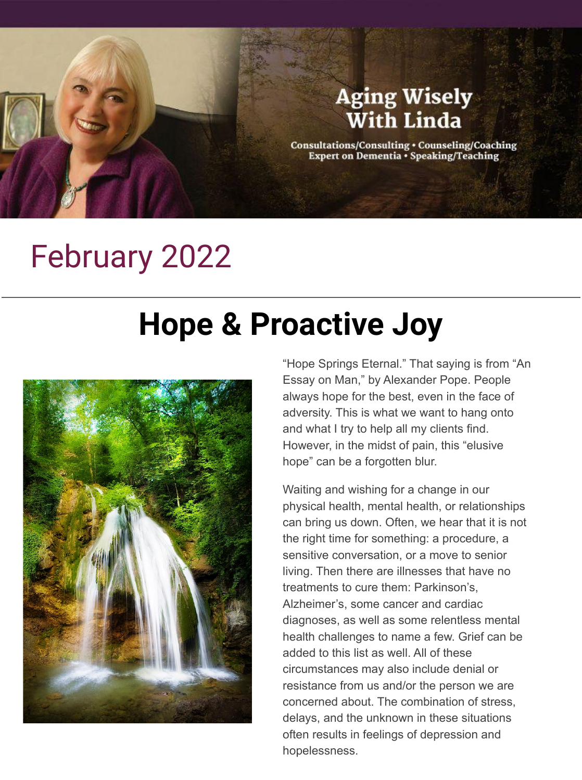## **Aging Wisely With Linda** Consultations/Consulting . Counseling/Coaching Expert on Dementia . Speaking/Teaching

## February 2022

## **Hope & Proactive Joy**



"Hope Springs Eternal." That saying is from "An Essay on Man," by Alexander Pope. People always hope for the best, even in the face of adversity. This is what we want to hang onto and what I try to help all my clients find. However, in the midst of pain, this "elusive hope" can be a forgotten blur.

Waiting and wishing for a change in our physical health, mental health, or relationships can bring us down. Often, we hear that it is not the right time for something: a procedure, a sensitive conversation, or a move to senior living. Then there are illnesses that have no treatments to cure them: Parkinson's, Alzheimer's, some cancer and cardiac diagnoses, as well as some relentless mental health challenges to name a few. Grief can be added to this list as well. All of these circumstances may also include denial or resistance from us and/or the person we are concerned about. The combination of stress, delays, and the unknown in these situations often results in feelings of depression and hopelessness.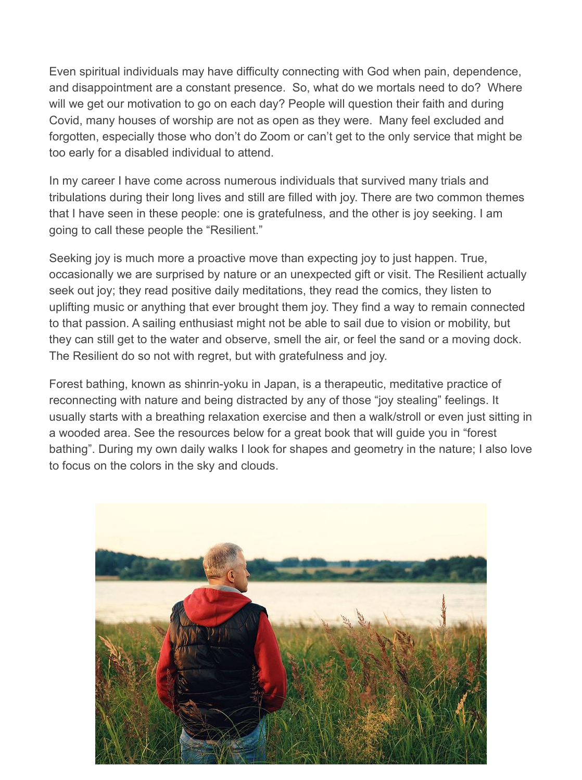Even spiritual individuals may have difficulty connecting with God when pain, dependence, and disappointment are a constant presence. So, what do we mortals need to do? Where will we get our motivation to go on each day? People will guestion their faith and during Covid, many houses of worship are not as open as they were. Many feel excluded and forgotten, especially those who don't do Zoom or can't get to the only service that might be too early for a disabled individual to attend.

In my career I have come across numerous individuals that survived many trials and tribulations during their long lives and still are filled with joy. There are two common themes that I have seen in these people: one is gratefulness, and the other is joy seeking. I am going to call these people the "Resilient."

Seeking joy is much more a proactive move than expecting joy to just happen. True, occasionally we are surprised by nature or an unexpected gift or visit. The Resilient actually seek out joy; they read positive daily meditations, they read the comics, they listen to uplifting music or anything that ever brought them joy. They find a way to remain connected to that passion. A sailing enthusiast might not be able to sail due to vision or mobility, but they can still get to the water and observe, smell the air, or feel the sand or a moving dock. The Resilient do so not with regret, but with gratefulness and joy.

Forest bathing, known as shinrin-yoku in Japan, is a therapeutic, meditative practice of reconnecting with nature and being distracted by any of those "joy stealing" feelings. It usually starts with a breathing relaxation exercise and then a walk/stroll or even just sitting in a wooded area. See the resources below for a great book that will guide you in "forest bathing". During my own daily walks I look for shapes and geometry in the nature; I also love to focus on the colors in the sky and clouds.